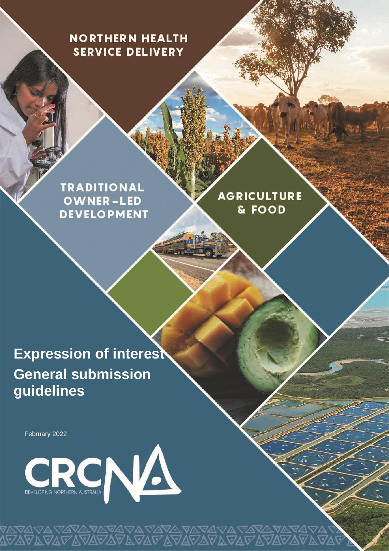# **NORTHERN HEALTH SERVICE DELIVERY**

**TRADITIONAL OWNER-LED DEVELOPMENT** 

**AGRICULTURE** & FOOD

**Expression of interest General submission guidelines**

February 2022



<sub></sub><br>DARATA ARARA DARA DA<br>DARATA DARA DARA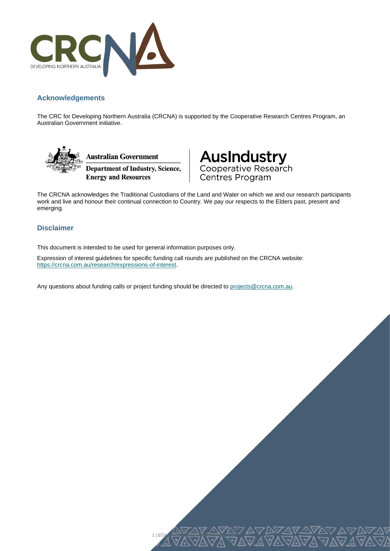

#### **Acknowledgements**

The CRC for Developing Northern Australia (CRCNA) is supported by the Cooperative Research Centres Program, an Australian Government initiative.





The CRCNA acknowledges the Traditional Custodians of the Land and Water on which we and our research participants work and live and honour their continual connection to Country. We pay our respects to the Elders past, present and emerging.

1 | EOI General Guidelines February 2022

#### **Disclaimer**

This document is intended to be used for general information purposes only.

Expression of interest guidelines for specific funding call rounds are published on the CRCNA website: [https://crcna.com.au/research/expressions-of-interest.](https://crcna.com.au/research/expressions-of-interest)

Any questions about funding calls or project funding should be directed to [projects@crcna.com.au.](mailto:projects@crcna.com.au)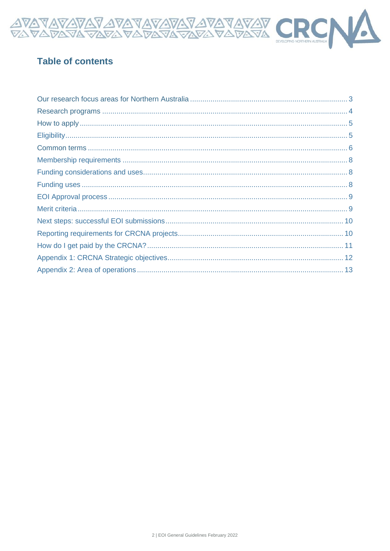

# **Table of contents**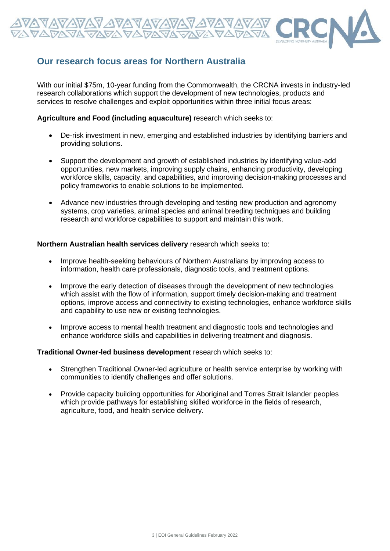

# **Our research focus areas for Northern Australia**

With our initial \$75m, 10-year funding from the Commonwealth, the CRCNA invests in industry-led research collaborations which support the development of new technologies, products and services to resolve challenges and exploit opportunities within three initial focus areas:

#### **Agriculture and Food (including aquaculture)** research which seeks to:

- De-risk investment in new, emerging and established industries by identifying barriers and providing solutions.
- Support the development and growth of established industries by identifying value-add opportunities, new markets, improving supply chains, enhancing productivity, developing workforce skills, capacity, and capabilities, and improving decision-making processes and policy frameworks to enable solutions to be implemented.
- Advance new industries through developing and testing new production and agronomy systems, crop varieties, animal species and animal breeding techniques and building research and workforce capabilities to support and maintain this work.

#### **Northern Australian health services delivery** research which seeks to:

- Improve health-seeking behaviours of Northern Australians by improving access to information, health care professionals, diagnostic tools, and treatment options.
- Improve the early detection of diseases through the development of new technologies which assist with the flow of information, support timely decision-making and treatment options, improve access and connectivity to existing technologies, enhance workforce skills and capability to use new or existing technologies.
- Improve access to mental health treatment and diagnostic tools and technologies and enhance workforce skills and capabilities in delivering treatment and diagnosis.

#### **Traditional Owner-led business development** research which seeks to:

- Strengthen Traditional Owner-led agriculture or health service enterprise by working with communities to identify challenges and offer solutions.
- Provide capacity building opportunities for Aboriginal and Torres Strait Islander peoples which provide pathways for establishing skilled workforce in the fields of research, agriculture, food, and health service delivery.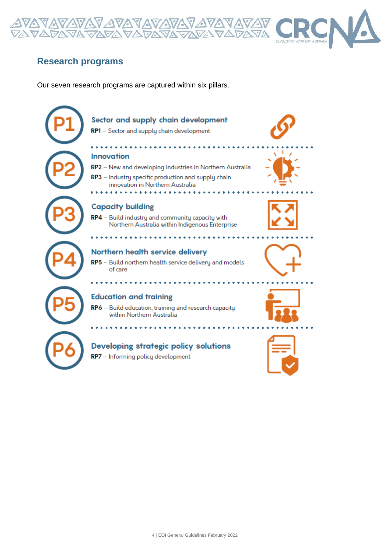

# **Research programs**

Our seven research programs are captured within six pillars.

<u> AVAVAV AVAVAVAVAV</u><br>DAVA VAVA VADAVAVAV

# Sector and supply chain development RP1 - Sector and supply chain development

#### **Innovation**

- RP2 New and developing industries in Northern Australia
- RP3 Industry specific production and supply chain innovation in Northern Australia

#### **Capacity building**

RP4 - Build industry and community capacity with Northern Australia within Indigenous Enterprise

### Northern health service delivery

RP5 - Build northern health service delivery and models of care

#### **Education and training**

RP6 - Build education, training and research capacity within Northern Australia

### **Developing strategic policy solutions**

RP7 - Informing policy development









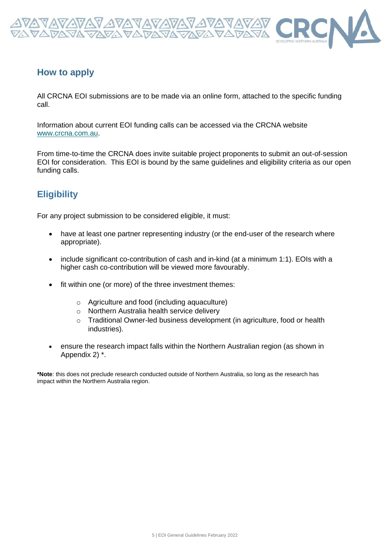

### **How to apply**

All CRCNA EOI submissions are to be made via an online form, attached to the specific funding call.

Information about current EOI funding calls can be accessed via the CRCNA website [www.crcna.com.au.](http://www.crcna.com.au/)

From time-to-time the CRCNA does invite suitable project proponents to submit an out-of-session EOI for consideration. This EOI is bound by the same guidelines and eligibility criteria as our open funding calls.

# **Eligibility**

For any project submission to be considered eligible, it must:

- have at least one partner representing industry (or the end-user of the research where appropriate).
- include significant co-contribution of cash and in-kind (at a minimum 1:1). EOIs with a higher cash co-contribution will be viewed more favourably.
- fit within one (or more) of the three investment themes:
	- o Agriculture and food (including aquaculture)
	- o Northern Australia health service delivery
	- o Traditional Owner-led business development (in agriculture, food or health industries).
- ensure the research impact falls within the Northern Australian region (as shown in Appendix 2) \*.

**\*Note**: this does not preclude research conducted outside of Northern Australia, so long as the research has impact within the Northern Australia region.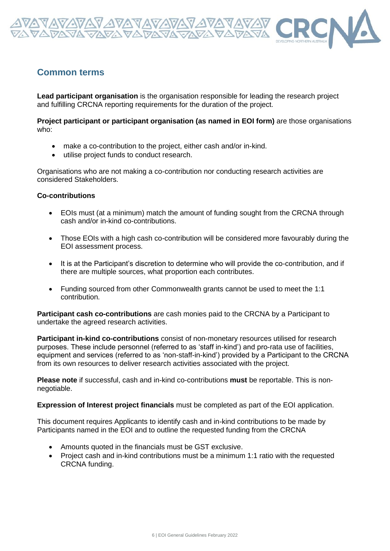

### **Common terms**

**Lead participant organisation** is the organisation responsible for leading the research project and fulfilling CRCNA reporting requirements for the duration of the project.

**Project participant or participant organisation (as named in EOI form)** are those organisations who:

- make a co-contribution to the project, either cash and/or in-kind.
- utilise project funds to conduct research.

Organisations who are not making a co-contribution nor conducting research activities are considered Stakeholders.

#### **Co-contributions**

- EOIs must (at a minimum) match the amount of funding sought from the CRCNA through cash and/or in-kind co-contributions.
- Those EOIs with a high cash co-contribution will be considered more favourably during the EOI assessment process.
- It is at the Participant's discretion to determine who will provide the co-contribution, and if there are multiple sources, what proportion each contributes.
- Funding sourced from other Commonwealth grants cannot be used to meet the 1:1 contribution.

**Participant cash co-contributions** are cash monies paid to the CRCNA by a Participant to undertake the agreed research activities.

**Participant in-kind co-contributions** consist of non-monetary resources utilised for research purposes. These include personnel (referred to as 'staff in-kind') and pro-rata use of facilities, equipment and services (referred to as 'non-staff-in-kind') provided by a Participant to the CRCNA from its own resources to deliver research activities associated with the project.

**Please note** if successful, cash and in-kind co-contributions **must** be reportable. This is nonnegotiable.

**Expression of Interest project financials** must be completed as part of the EOI application.

This document requires Applicants to identify cash and in-kind contributions to be made by Participants named in the EOI and to outline the requested funding from the CRCNA

- Amounts quoted in the financials must be GST exclusive.
- Project cash and in-kind contributions must be a minimum 1:1 ratio with the requested CRCNA funding.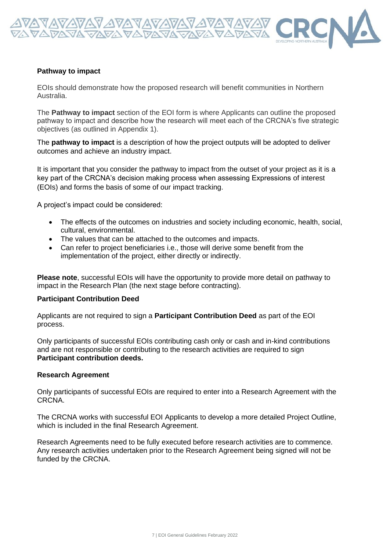

#### **Pathway to impact**

EOIs should demonstrate how the proposed research will benefit communities in Northern Australia.

The **Pathway to impact** section of the EOI form is where Applicants can outline the proposed pathway to impact and describe how the research will meet each of the CRCNA's five strategic objectives (as outlined in Appendix 1).

The **pathway to impact** is a description of how the project outputs will be adopted to deliver outcomes and achieve an industry impact.

It is important that you consider the pathway to impact from the outset of your project as it is a key part of the CRCNA's decision making process when assessing Expressions of interest (EOIs) and forms the basis of some of our impact tracking.

A project's impact could be considered:

- The effects of the outcomes on industries and society including economic, health, social, cultural, environmental.
- The values that can be attached to the outcomes and impacts.
- Can refer to project beneficiaries i.e., those will derive some benefit from the implementation of the project, either directly or indirectly.

**Please note**, successful EOIs will have the opportunity to provide more detail on pathway to impact in the Research Plan (the next stage before contracting).

#### **Participant Contribution Deed**

Applicants are not required to sign a **Participant Contribution Deed** as part of the EOI process.

Only participants of successful EOIs contributing cash only or cash and in-kind contributions and are not responsible or contributing to the research activities are required to sign **Participant contribution deeds.**

#### **Research Agreement**

Only participants of successful EOIs are required to enter into a Research Agreement with the CRCNA.

The CRCNA works with successful EOI Applicants to develop a more detailed Project Outline, which is included in the final Research Agreement.

Research Agreements need to be fully executed before research activities are to commence. Any research activities undertaken prior to the Research Agreement being signed will not be funded by the CRCNA.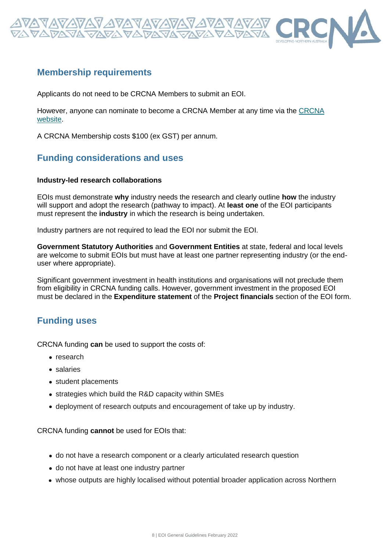

### **Membership requirements**

Applicants do not need to be CRCNA Members to submit an EOI.

However, anyone can nominate to become a CRCNA Member at any time via the [CRCNA](http://www.crcna.com.au/about/membership/)  [website.](http://www.crcna.com.au/about/membership/)

A CRCNA Membership costs \$100 (ex GST) per annum.

# **Funding considerations and uses**

#### **Industry-led research collaborations**

EOIs must demonstrate **why** industry needs the research and clearly outline **how** the industry will support and adopt the research (pathway to impact). At **least one** of the EOI participants must represent the **industry** in which the research is being undertaken.

Industry partners are not required to lead the EOI nor submit the EOI.

**Government Statutory Authorities** and **Government Entities** at state, federal and local levels are welcome to submit EOIs but must have at least one partner representing industry (or the enduser where appropriate).

Significant government investment in health institutions and organisations will not preclude them from eligibility in CRCNA funding calls. However, government investment in the proposed EOI must be declared in the **Expenditure statement** of the **Project financials** section of the EOI form.

## **Funding uses**

CRCNA funding **can** be used to support the costs of:

- research
- salaries
- student placements
- strategies which build the R&D capacity within SMEs
- deployment of research outputs and encouragement of take up by industry.

CRCNA funding **cannot** be used for EOIs that:

- do not have a research component or a clearly articulated research question
- do not have at least one industry partner
- whose outputs are highly localised without potential broader application across Northern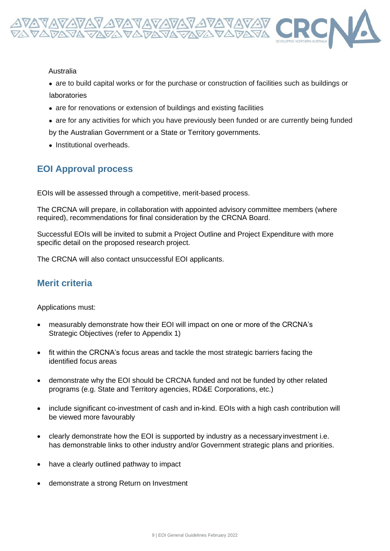

#### Australia

• are to build capital works or for the purchase or construction of facilities such as buildings or laboratories

- are for renovations or extension of buildings and existing facilities
- are for any activities for which you have previously been funded or are currently being funded by the Australian Government or a State or Territory governments.
- Institutional overheads.

# **EOI Approval process**

EOIs will be assessed through a competitive, merit-based process.

The CRCNA will prepare, in collaboration with appointed advisory committee members (where required), recommendations for final consideration by the CRCNA Board.

Successful EOIs will be invited to submit a Project Outline and Project Expenditure with more specific detail on the proposed research project.

The CRCNA will also contact unsuccessful EOI applicants.

## **Merit criteria**

Applications must:

- measurably demonstrate how their EOI will impact on one or more of the CRCNA's Strategic Objectives (refer to Appendix 1)
- fit within the CRCNA's focus areas and tackle the most strategic barriers facing the identified focus areas
- demonstrate why the EOI should be CRCNA funded and not be funded by other related programs (e.g. State and Territory agencies, RD&E Corporations, etc.)
- include significant co-investment of cash and in-kind. EOIs with a high cash contribution will be viewed more favourably
- clearly demonstrate how the EOI is supported by industry as a necessaryinvestment i.e. has demonstrable links to other industry and/or Government strategic plans and priorities.
- have a clearly outlined pathway to impact
- demonstrate a strong Return on Investment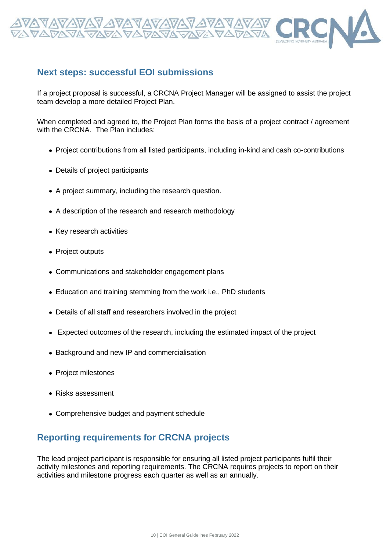

### **Next steps: successful EOI submissions**

If a project proposal is successful, a CRCNA Project Manager will be assigned to assist the project team develop a more detailed Project Plan.

When completed and agreed to, the Project Plan forms the basis of a project contract / agreement with the CRCNA. The Plan includes:

- Project contributions from all listed participants, including in-kind and cash co-contributions
- Details of project participants
- A project summary, including the research question.
- A description of the research and research methodology
- Key research activities
- Project outputs
- Communications and stakeholder engagement plans
- Education and training stemming from the work i.e., PhD students
- Details of all staff and researchers involved in the project
- Expected outcomes of the research, including the estimated impact of the project
- Background and new IP and commercialisation
- Project milestones
- Risks assessment
- Comprehensive budget and payment schedule

## **Reporting requirements for CRCNA projects**

The lead project participant is responsible for ensuring all listed project participants fulfil their activity milestones and reporting requirements. The CRCNA requires projects to report on their activities and milestone progress each quarter as well as an annually.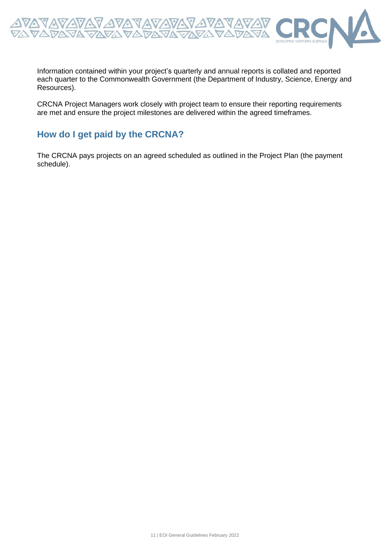

Information contained within your project's quarterly and annual reports is collated and reported each quarter to the Commonwealth Government (the Department of Industry, Science, Energy and Resources).

CRCNA Project Managers work closely with project team to ensure their reporting requirements are met and ensure the project milestones are delivered within the agreed timeframes.

# **How do I get paid by the CRCNA?**

The CRCNA pays projects on an agreed scheduled as outlined in the Project Plan (the payment schedule).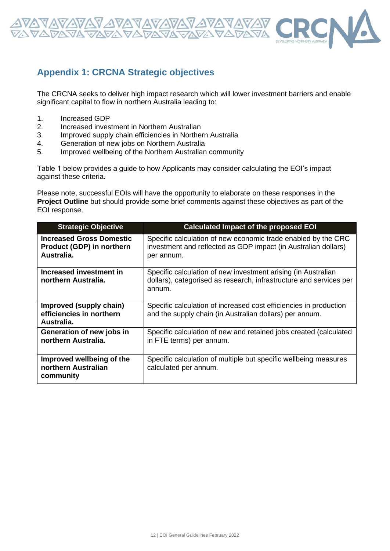

# **Appendix 1: CRCNA Strategic objectives**

The CRCNA seeks to deliver high impact research which will lower investment barriers and enable significant capital to flow in northern Australia leading to:

- 1. Increased GDP
- 2. Increased investment in Northern Australian
- 3. Improved supply chain efficiencies in Northern Australia
- 4. Generation of new jobs on Northern Australia
- 5. Improved wellbeing of the Northern Australian community

Table 1 below provides a guide to how Applicants may consider calculating the EOI's impact against these criteria.

Please note, successful EOIs will have the opportunity to elaborate on these responses in the **Project Outline** but should provide some brief comments against these objectives as part of the EOI response.

| <b>Strategic Objective</b>                                                 | <b>Calculated Impact of the proposed EOI</b>                                                                                                  |
|----------------------------------------------------------------------------|-----------------------------------------------------------------------------------------------------------------------------------------------|
| <b>Increased Gross Domestic</b><br>Product (GDP) in northern<br>Australia. | Specific calculation of new economic trade enabled by the CRC<br>investment and reflected as GDP impact (in Australian dollars)<br>per annum. |
| Increased investment in<br>northern Australia.                             | Specific calculation of new investment arising (in Australian<br>dollars), categorised as research, infrastructure and services per<br>annum. |
| Improved (supply chain)<br>efficiencies in northern<br>Australia.          | Specific calculation of increased cost efficiencies in production<br>and the supply chain (in Australian dollars) per annum.                  |
| Generation of new jobs in<br>northern Australia.                           | Specific calculation of new and retained jobs created (calculated<br>in FTE terms) per annum.                                                 |
| Improved wellbeing of the<br>northern Australian<br>community              | Specific calculation of multiple but specific wellbeing measures<br>calculated per annum.                                                     |